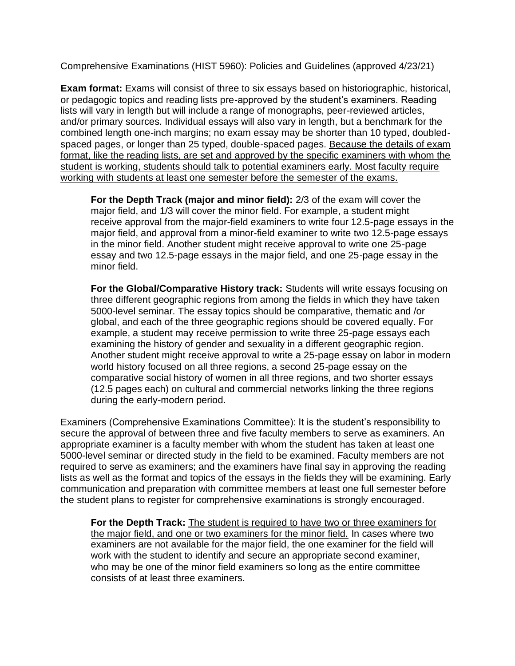Comprehensive Examinations (HIST 5960): Policies and Guidelines (approved 4/23/21)

**Exam format:** Exams will consist of three to six essays based on historiographic, historical, or pedagogic topics and reading lists pre-approved by the student's examiners. Reading lists will vary in length but will include a range of monographs, peer-reviewed articles, and/or primary sources. Individual essays will also vary in length, but a benchmark for the combined length one-inch margins; no exam essay may be shorter than 10 typed, doubledspaced pages, or longer than 25 typed, double-spaced pages. Because the details of exam format, like the reading lists, are set and approved by the specific examiners with whom the student is working, students should talk to potential examiners early. Most faculty require working with students at least one semester before the semester of the exams.

**For the Depth Track (major and minor field):** 2/3 of the exam will cover the major field, and 1/3 will cover the minor field. For example, a student might receive approval from the major-field examiners to write four 12.5-page essays in the major field, and approval from a minor-field examiner to write two 12.5-page essays in the minor field. Another student might receive approval to write one 25-page essay and two 12.5-page essays in the major field, and one 25-page essay in the minor field.

**For the Global/Comparative History track:** Students will write essays focusing on three different geographic regions from among the fields in which they have taken 5000-level seminar. The essay topics should be comparative, thematic and /or global, and each of the three geographic regions should be covered equally. For example, a student may receive permission to write three 25-page essays each examining the history of gender and sexuality in a different geographic region. Another student might receive approval to write a 25-page essay on labor in modern world history focused on all three regions, a second 25-page essay on the comparative social history of women in all three regions, and two shorter essays (12.5 pages each) on cultural and commercial networks linking the three regions during the early-modern period.

Examiners (Comprehensive Examinations Committee): It is the student's responsibility to secure the approval of between three and five faculty members to serve as examiners. An appropriate examiner is a faculty member with whom the student has taken at least one 5000-level seminar or directed study in the field to be examined. Faculty members are not required to serve as examiners; and the examiners have final say in approving the reading lists as well as the format and topics of the essays in the fields they will be examining. Early communication and preparation with committee members at least one full semester before the student plans to register for comprehensive examinations is strongly encouraged.

**For the Depth Track:** The student is required to have two or three examiners for the major field, and one or two examiners for the minor field. In cases where two examiners are not available for the major field, the one examiner for the field will work with the student to identify and secure an appropriate second examiner, who may be one of the minor field examiners so long as the entire committee consists of at least three examiners.